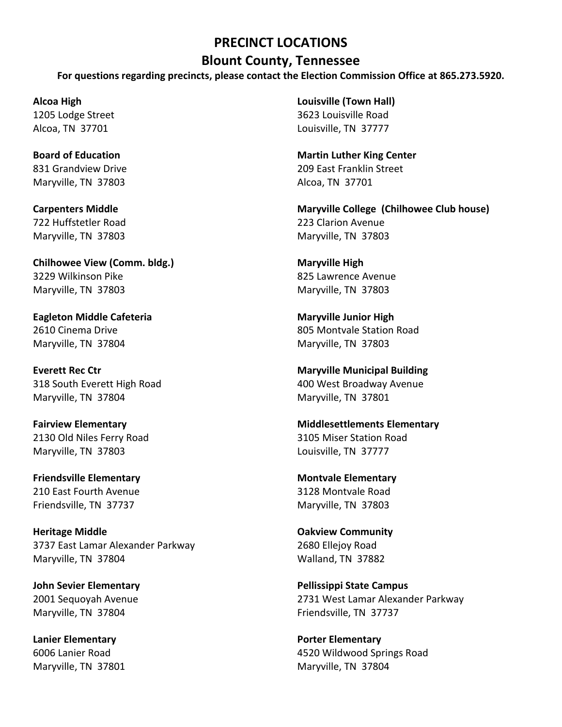## **PRECINCT LOCATIONS**

## **Blount County, Tennessee**

**For questions regarding precincts, please contact the Election Commission Office at 865.273.5920.**

**Alcoa High** 1205 Lodge Street Alcoa, TN 37701

**Board of Education** 831 Grandview Drive Maryville, TN 37803

**Carpenters Middle** 722 Huffstetler Road Maryville, TN 37803

**Chilhowee View (Comm. bldg.)** 3229 Wilkinson Pike Maryville, TN 37803

**Eagleton Middle Cafeteria** 2610 Cinema Drive Maryville, TN 37804

**Everett Rec Ctr** 318 South Everett High Road Maryville, TN 37804

**Fairview Elementary** 2130 Old Niles Ferry Road Maryville, TN 37803

**Friendsville Elementary** 210 East Fourth Avenue Friendsville, TN 37737

**Heritage Middle** 3737 East Lamar Alexander Parkway Maryville, TN 37804

**John Sevier Elementary** 2001 Sequoyah Avenue Maryville, TN 37804

**Lanier Elementary** 6006 Lanier Road Maryville, TN 37801 **Louisville (Town Hall)** 3623 Louisville Road Louisville, TN 37777

**Martin Luther King Center** 209 East Franklin Street Alcoa, TN 37701

**Maryville College (Chilhowee Club house)** 223 Clarion Avenue Maryville, TN 37803

**Maryville High**  825 Lawrence Avenue Maryville, TN 37803

**Maryville Junior High** 805 Montvale Station Road Maryville, TN 37803

**Maryville Municipal Building** 400 West Broadway Avenue Maryville, TN 37801

**Middlesettlements Elementary** 3105 Miser Station Road Louisville, TN 37777

**Montvale Elementary** 3128 Montvale Road Maryville, TN 37803

**Oakview Community**  2680 Ellejoy Road Walland, TN 37882

**Pellissippi State Campus** 2731 West Lamar Alexander Parkway Friendsville, TN 37737

**Porter Elementary** 4520 Wildwood Springs Road Maryville, TN 37804